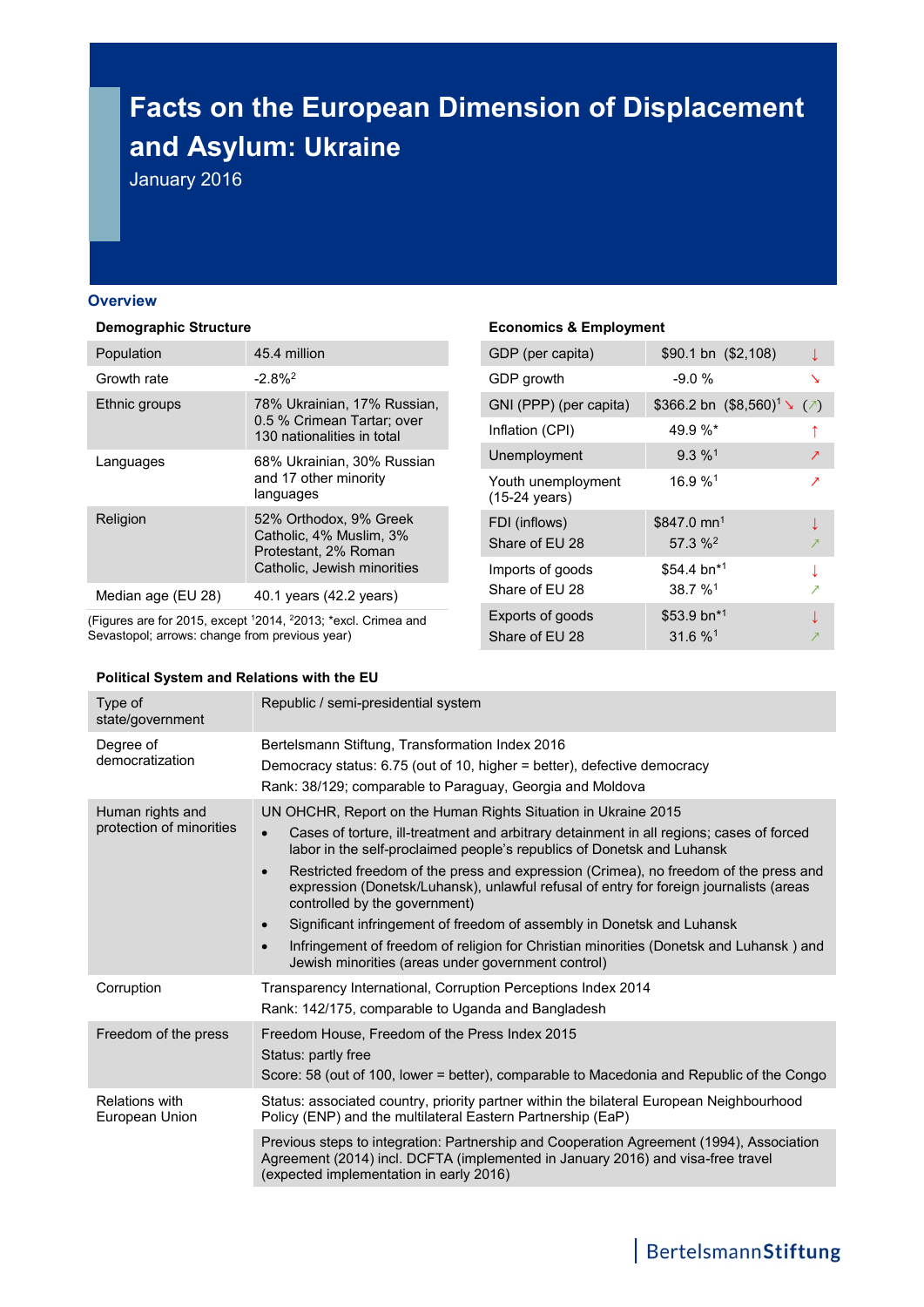# **Facts on the European Dimension of Displacement and Asylum: Ukraine**

January 2016

#### **Overview**

#### **Demographic Structure**

| Population         | 45.4 million                                                                                             |
|--------------------|----------------------------------------------------------------------------------------------------------|
| Growth rate        | $-2.8%$ <sup>2</sup>                                                                                     |
| Ethnic groups      | 78% Ukrainian, 17% Russian,<br>0.5 % Crimean Tartar; over<br>130 nationalities in total                  |
| Languages          | 68% Ukrainian, 30% Russian<br>and 17 other minority<br>languages                                         |
| Religion           | 52% Orthodox, 9% Greek<br>Catholic, 4% Muslim, 3%<br>Protestant, 2% Roman<br>Catholic, Jewish minorities |
| Median age (EU 28) | 40.1 years (42.2 years)                                                                                  |

(Figures are for 2015, except <sup>1</sup>2014, <sup>2</sup>2013; \*excl. Crimea and Sevastopol; arrows: change from previous year)

#### **Political System and Relations with the EU**

# **Economics & Employment**

| $$90.1 \text{ bn} \ ($2,108)$         |   |
|---------------------------------------|---|
| $-9.0%$                               | ↘ |
| \$366.2 bn $(\$8,560)^1 \searrow (*)$ |   |
| $49.9\%$ *                            |   |
| $9.3\%$ <sup>1</sup>                  | ↗ |
| $16.9%$ <sup>1</sup>                  | ↗ |
| \$847.0 mn <sup>1</sup>               |   |
| $57.3 \%2$                            |   |
| \$54.4 bn*1                           |   |
| $38.7 \%$ <sup>1</sup>                |   |
| \$53.9 bn*1                           |   |
| $31.6 \%$ <sup>1</sup>                |   |
|                                       |   |

| Type of<br>state/government                  | Republic / semi-presidential system                                                                                                                                                                                                                                                                                                                                                                                                                                                                                                                                                                                                                                                                                      |
|----------------------------------------------|--------------------------------------------------------------------------------------------------------------------------------------------------------------------------------------------------------------------------------------------------------------------------------------------------------------------------------------------------------------------------------------------------------------------------------------------------------------------------------------------------------------------------------------------------------------------------------------------------------------------------------------------------------------------------------------------------------------------------|
| Degree of<br>democratization                 | Bertelsmann Stiftung, Transformation Index 2016<br>Democracy status: 6.75 (out of 10, higher = better), defective democracy<br>Rank: 38/129; comparable to Paraguay, Georgia and Moldova                                                                                                                                                                                                                                                                                                                                                                                                                                                                                                                                 |
| Human rights and<br>protection of minorities | UN OHCHR, Report on the Human Rights Situation in Ukraine 2015<br>Cases of torture, ill-treatment and arbitrary detainment in all regions; cases of forced<br>labor in the self-proclaimed people's republics of Donetsk and Luhansk<br>Restricted freedom of the press and expression (Crimea), no freedom of the press and<br>$\bullet$<br>expression (Donetsk/Luhansk), unlawful refusal of entry for foreign journalists (areas<br>controlled by the government)<br>Significant infringement of freedom of assembly in Donetsk and Luhansk<br>$\bullet$<br>Infringement of freedom of religion for Christian minorities (Donetsk and Luhansk) and<br>$\bullet$<br>Jewish minorities (areas under government control) |
| Corruption                                   | Transparency International, Corruption Perceptions Index 2014<br>Rank: 142/175, comparable to Uganda and Bangladesh                                                                                                                                                                                                                                                                                                                                                                                                                                                                                                                                                                                                      |
| Freedom of the press                         | Freedom House, Freedom of the Press Index 2015<br>Status: partly free<br>Score: 58 (out of 100, lower = better), comparable to Macedonia and Republic of the Congo                                                                                                                                                                                                                                                                                                                                                                                                                                                                                                                                                       |
| <b>Relations with</b><br>European Union      | Status: associated country, priority partner within the bilateral European Neighbourhood<br>Policy (ENP) and the multilateral Eastern Partnership (EaP)                                                                                                                                                                                                                                                                                                                                                                                                                                                                                                                                                                  |
|                                              | Previous steps to integration: Partnership and Cooperation Agreement (1994), Association<br>Agreement (2014) incl. DCFTA (implemented in January 2016) and visa-free travel<br>(expected implementation in early 2016)                                                                                                                                                                                                                                                                                                                                                                                                                                                                                                   |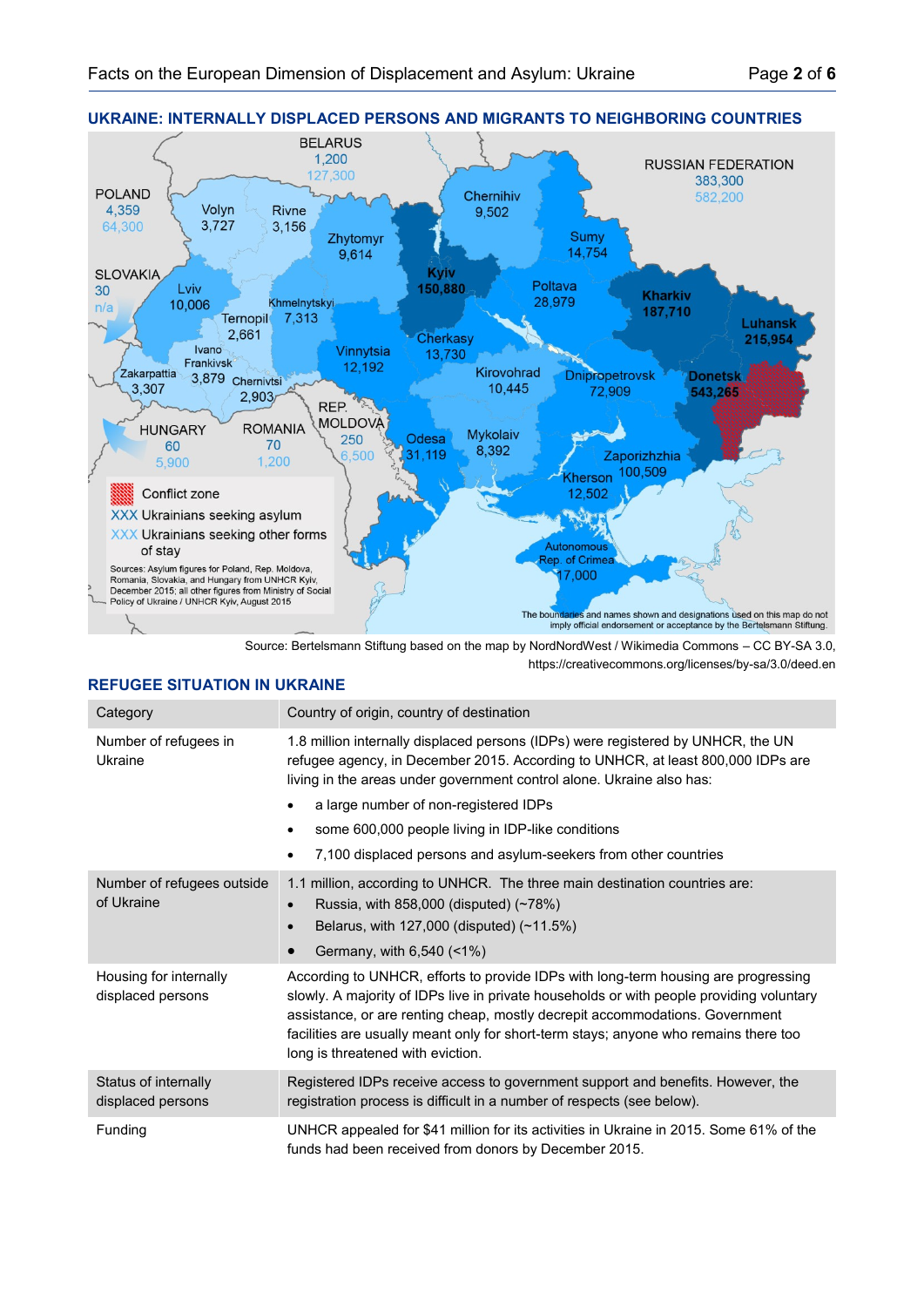

Source: Bertelsmann Stiftung based on the map by NordNordWest / Wikimedia Commons – CC BY-SA 3.0, https://creativecommons.org/licenses/by-sa/3.0/deed.en

## **REFUGEE SITUATION IN UKRAINE**

| Category                                    | Country of origin, country of destination                                                                                                                                                                                                                                                                                                                                                                                       |
|---------------------------------------------|---------------------------------------------------------------------------------------------------------------------------------------------------------------------------------------------------------------------------------------------------------------------------------------------------------------------------------------------------------------------------------------------------------------------------------|
| Number of refugees in<br>Ukraine            | 1.8 million internally displaced persons (IDPs) were registered by UNHCR, the UN<br>refugee agency, in December 2015. According to UNHCR, at least 800,000 IDPs are<br>living in the areas under government control alone. Ukraine also has:<br>a large number of non-registered IDPs<br>some 600,000 people living in IDP-like conditions<br>$\bullet$<br>7,100 displaced persons and asylum-seekers from other countries<br>٠ |
| Number of refugees outside<br>of Ukraine    | 1.1 million, according to UNHCR. The three main destination countries are:<br>Russia, with $858,000$ (disputed) $(~78%)$<br>$\bullet$<br>Belarus, with $127,000$ (disputed) $(-11.5%)$<br>$\bullet$<br>Germany, with 6,540 (<1%)                                                                                                                                                                                                |
| Housing for internally<br>displaced persons | According to UNHCR, efforts to provide IDPs with long-term housing are progressing<br>slowly. A majority of IDPs live in private households or with people providing voluntary<br>assistance, or are renting cheap, mostly decrepit accommodations. Government<br>facilities are usually meant only for short-term stays; anyone who remains there too<br>long is threatened with eviction.                                     |
| Status of internally<br>displaced persons   | Registered IDPs receive access to government support and benefits. However, the<br>registration process is difficult in a number of respects (see below).                                                                                                                                                                                                                                                                       |
| Funding                                     | UNHCR appealed for \$41 million for its activities in Ukraine in 2015. Some 61% of the<br>funds had been received from donors by December 2015.                                                                                                                                                                                                                                                                                 |

# **UKRAINE: INTERNALLY DISPLACED PERSONS AND MIGRANTS TO NEIGHBORING COUNTRIES**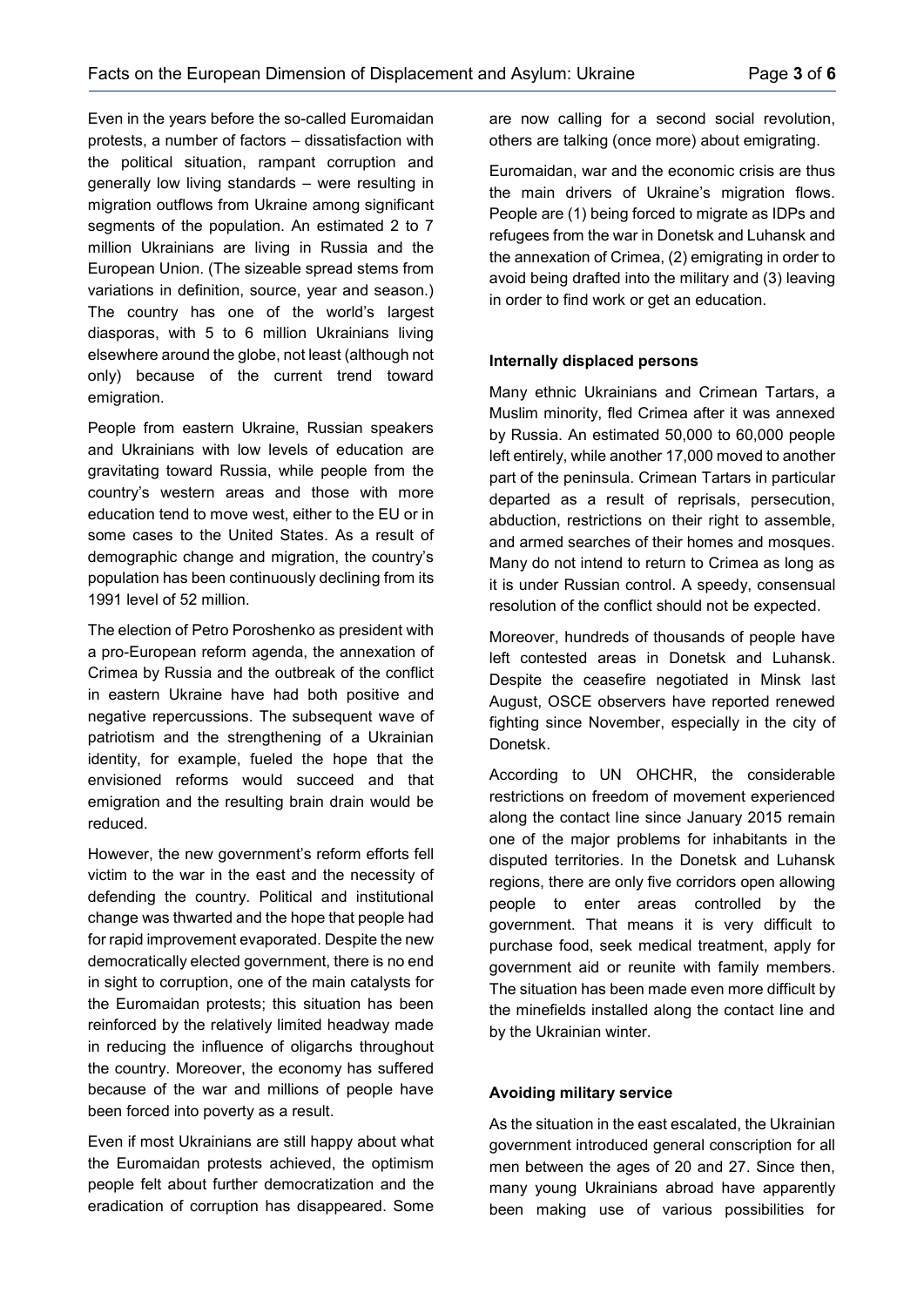Even in the years before the so-called Euromaidan protests, a number of factors – dissatisfaction with the political situation, rampant corruption and generally low living standards – were resulting in migration outflows from Ukraine among significant segments of the population. An estimated 2 to 7 million Ukrainians are living in Russia and the European Union. (The sizeable spread stems from variations in definition, source, year and season.) The country has one of the world's largest diasporas, with 5 to 6 million Ukrainians living elsewhere around the globe, not least (although not only) because of the current trend toward emigration.

People from eastern Ukraine, Russian speakers and Ukrainians with low levels of education are gravitating toward Russia, while people from the country's western areas and those with more education tend to move west, either to the EU or in some cases to the United States. As a result of demographic change and migration, the country's population has been continuously declining from its 1991 level of 52 million.

The election of Petro Poroshenko as president with a pro-European reform agenda, the annexation of Crimea by Russia and the outbreak of the conflict in eastern Ukraine have had both positive and negative repercussions. The subsequent wave of patriotism and the strengthening of a Ukrainian identity, for example, fueled the hope that the envisioned reforms would succeed and that emigration and the resulting brain drain would be reduced.

However, the new government's reform efforts fell victim to the war in the east and the necessity of defending the country. Political and institutional change was thwarted and the hope that people had for rapid improvement evaporated. Despite the new democratically elected government, there is no end in sight to corruption, one of the main catalysts for the Euromaidan protests; this situation has been reinforced by the relatively limited headway made in reducing the influence of oligarchs throughout the country. Moreover, the economy has suffered because of the war and millions of people have been forced into poverty as a result.

Even if most Ukrainians are still happy about what the Euromaidan protests achieved, the optimism people felt about further democratization and the eradication of corruption has disappeared. Some

are now calling for a second social revolution, others are talking (once more) about emigrating.

Euromaidan, war and the economic crisis are thus the main drivers of Ukraine's migration flows. People are (1) being forced to migrate as IDPs and refugees from the war in Donetsk and Luhansk and the annexation of Crimea, (2) emigrating in order to avoid being drafted into the military and (3) leaving in order to find work or get an education.

## **Internally displaced persons**

Many ethnic Ukrainians and Crimean Tartars, a Muslim minority, fled Crimea after it was annexed by Russia. An estimated 50,000 to 60,000 people left entirely, while another 17,000 moved to another part of the peninsula. Crimean Tartars in particular departed as a result of reprisals, persecution, abduction, restrictions on their right to assemble, and armed searches of their homes and mosques. Many do not intend to return to Crimea as long as it is under Russian control. A speedy, consensual resolution of the conflict should not be expected.

Moreover, hundreds of thousands of people have left contested areas in Donetsk and Luhansk. Despite the ceasefire negotiated in Minsk last August, OSCE observers have reported renewed fighting since November, especially in the city of Donetsk.

According to UN OHCHR, the considerable restrictions on freedom of movement experienced along the contact line since January 2015 remain one of the major problems for inhabitants in the disputed territories. In the Donetsk and Luhansk regions, there are only five corridors open allowing people to enter areas controlled by the government. That means it is very difficult to purchase food, seek medical treatment, apply for government aid or reunite with family members. The situation has been made even more difficult by the minefields installed along the contact line and by the Ukrainian winter.

## **Avoiding military service**

As the situation in the east escalated, the Ukrainian government introduced general conscription for all men between the ages of 20 and 27. Since then, many young Ukrainians abroad have apparently been making use of various possibilities for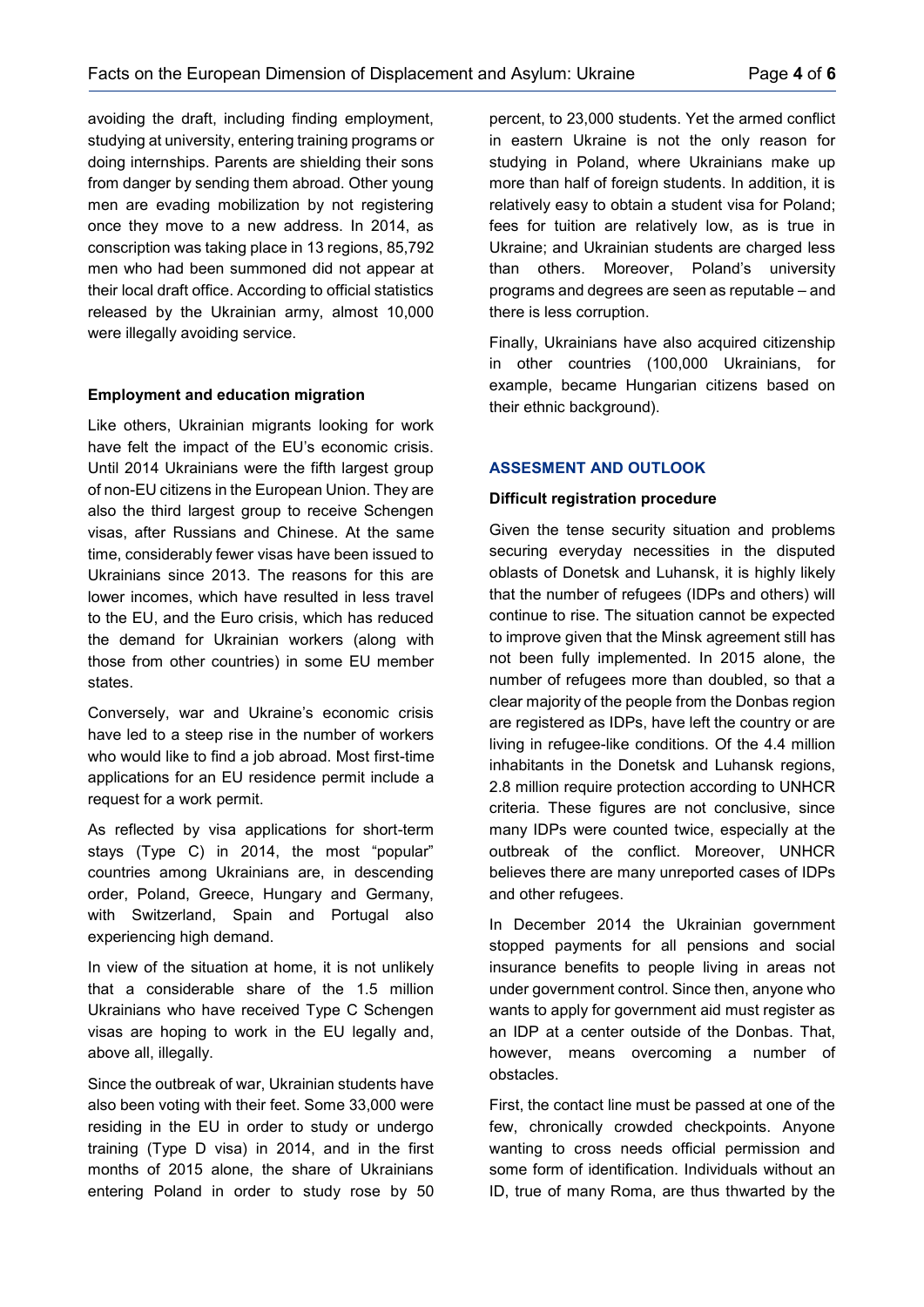avoiding the draft, including finding employment, studying at university, entering training programs or doing internships. Parents are shielding their sons from danger by sending them abroad. Other young men are evading mobilization by not registering once they move to a new address. In 2014, as conscription was taking place in 13 regions, 85,792 men who had been summoned did not appear at their local draft office. According to official statistics released by the Ukrainian army, almost 10,000 were illegally avoiding service.

## **Employment and education migration**

Like others, Ukrainian migrants looking for work have felt the impact of the EU's economic crisis. Until 2014 Ukrainians were the fifth largest group of non-EU citizens in the European Union. They are also the third largest group to receive Schengen visas, after Russians and Chinese. At the same time, considerably fewer visas have been issued to Ukrainians since 2013. The reasons for this are lower incomes, which have resulted in less travel to the EU, and the Euro crisis, which has reduced the demand for Ukrainian workers (along with those from other countries) in some EU member states.

Conversely, war and Ukraine's economic crisis have led to a steep rise in the number of workers who would like to find a job abroad. Most first-time applications for an EU residence permit include a request for a work permit.

As reflected by visa applications for short-term stays (Type C) in 2014, the most "popular" countries among Ukrainians are, in descending order, Poland, Greece, Hungary and Germany, with Switzerland, Spain and Portugal also experiencing high demand.

In view of the situation at home, it is not unlikely that a considerable share of the 1.5 million Ukrainians who have received Type C Schengen visas are hoping to work in the EU legally and, above all, illegally.

Since the outbreak of war, Ukrainian students have also been voting with their feet. Some 33,000 were residing in the EU in order to study or undergo training (Type D visa) in 2014, and in the first months of 2015 alone, the share of Ukrainians entering Poland in order to study rose by 50 percent, to 23,000 students. Yet the armed conflict in eastern Ukraine is not the only reason for studying in Poland, where Ukrainians make up more than half of foreign students. In addition, it is relatively easy to obtain a student visa for Poland; fees for tuition are relatively low, as is true in Ukraine; and Ukrainian students are charged less than others. Moreover, Poland's university programs and degrees are seen as reputable – and there is less corruption.

Finally, Ukrainians have also acquired citizenship in other countries (100,000 Ukrainians, for example, became Hungarian citizens based on their ethnic background).

## **ASSESMENT AND OUTLOOK**

#### **Difficult registration procedure**

Given the tense security situation and problems securing everyday necessities in the disputed oblasts of Donetsk and Luhansk, it is highly likely that the number of refugees (IDPs and others) will continue to rise. The situation cannot be expected to improve given that the Minsk agreement still has not been fully implemented. In 2015 alone, the number of refugees more than doubled, so that a clear majority of the people from the Donbas region are registered as IDPs, have left the country or are living in refugee-like conditions. Of the 4.4 million inhabitants in the Donetsk and Luhansk regions, 2.8 million require protection according to UNHCR criteria. These figures are not conclusive, since many IDPs were counted twice, especially at the outbreak of the conflict. Moreover, UNHCR believes there are many unreported cases of IDPs and other refugees.

In December 2014 the Ukrainian government stopped payments for all pensions and social insurance benefits to people living in areas not under government control. Since then, anyone who wants to apply for government aid must register as an IDP at a center outside of the Donbas. That, however, means overcoming a number of obstacles.

First, the contact line must be passed at one of the few, chronically crowded checkpoints. Anyone wanting to cross needs official permission and some form of identification. Individuals without an ID, true of many Roma, are thus thwarted by the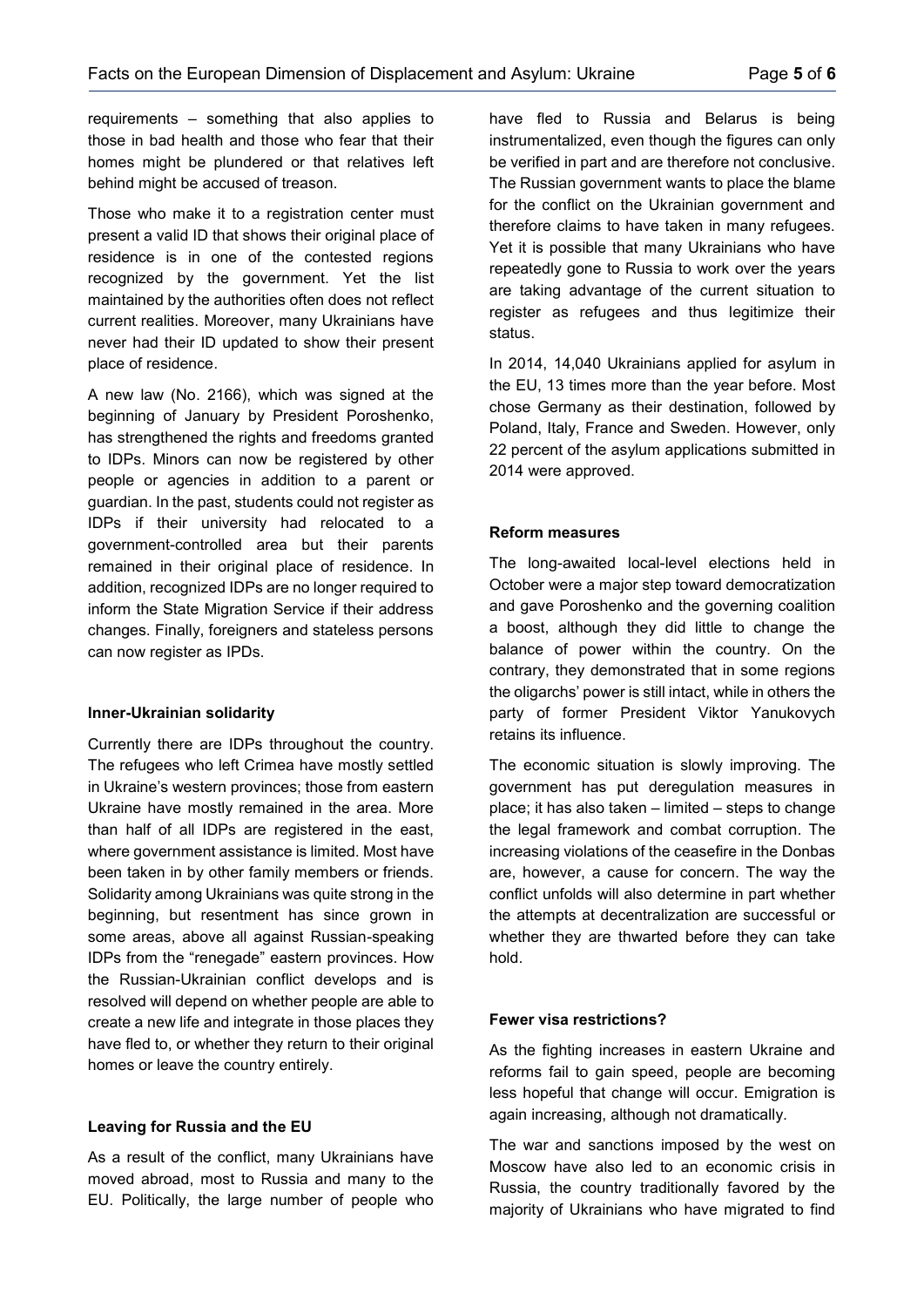requirements – something that also applies to those in bad health and those who fear that their homes might be plundered or that relatives left behind might be accused of treason.

Those who make it to a registration center must present a valid ID that shows their original place of residence is in one of the contested regions recognized by the government. Yet the list maintained by the authorities often does not reflect current realities. Moreover, many Ukrainians have never had their ID updated to show their present place of residence.

A new law (No. 2166), which was signed at the beginning of January by President Poroshenko, has strengthened the rights and freedoms granted to IDPs. Minors can now be registered by other people or agencies in addition to a parent or guardian. In the past, students could not register as IDPs if their university had relocated to a government-controlled area but their parents remained in their original place of residence. In addition, recognized IDPs are no longer required to inform the State Migration Service if their address changes. Finally, foreigners and stateless persons can now register as IPDs.

## **Inner-Ukrainian solidarity**

Currently there are IDPs throughout the country. The refugees who left Crimea have mostly settled in Ukraine's western provinces; those from eastern Ukraine have mostly remained in the area. More than half of all IDPs are registered in the east, where government assistance is limited. Most have been taken in by other family members or friends. Solidarity among Ukrainians was quite strong in the beginning, but resentment has since grown in some areas, above all against Russian-speaking IDPs from the "renegade" eastern provinces. How the Russian-Ukrainian conflict develops and is resolved will depend on whether people are able to create a new life and integrate in those places they have fled to, or whether they return to their original homes or leave the country entirely.

## **Leaving for Russia and the EU**

As a result of the conflict, many Ukrainians have moved abroad, most to Russia and many to the EU. Politically, the large number of people who

have fled to Russia and Belarus is being instrumentalized, even though the figures can only be verified in part and are therefore not conclusive. The Russian government wants to place the blame for the conflict on the Ukrainian government and therefore claims to have taken in many refugees. Yet it is possible that many Ukrainians who have repeatedly gone to Russia to work over the years are taking advantage of the current situation to register as refugees and thus legitimize their status.

In 2014, 14,040 Ukrainians applied for asylum in the EU, 13 times more than the year before. Most chose Germany as their destination, followed by Poland, Italy, France and Sweden. However, only 22 percent of the asylum applications submitted in 2014 were approved.

#### **Reform measures**

The long-awaited local-level elections held in October were a major step toward democratization and gave Poroshenko and the governing coalition a boost, although they did little to change the balance of power within the country. On the contrary, they demonstrated that in some regions the oligarchs' power is still intact, while in others the party of former President Viktor Yanukovych retains its influence.

The economic situation is slowly improving. The government has put deregulation measures in place; it has also taken – limited – steps to change the legal framework and combat corruption. The increasing violations of the ceasefire in the Donbas are, however, a cause for concern. The way the conflict unfolds will also determine in part whether the attempts at decentralization are successful or whether they are thwarted before they can take hold.

## **Fewer visa restrictions?**

As the fighting increases in eastern Ukraine and reforms fail to gain speed, people are becoming less hopeful that change will occur. Emigration is again increasing, although not dramatically.

The war and sanctions imposed by the west on Moscow have also led to an economic crisis in Russia, the country traditionally favored by the majority of Ukrainians who have migrated to find